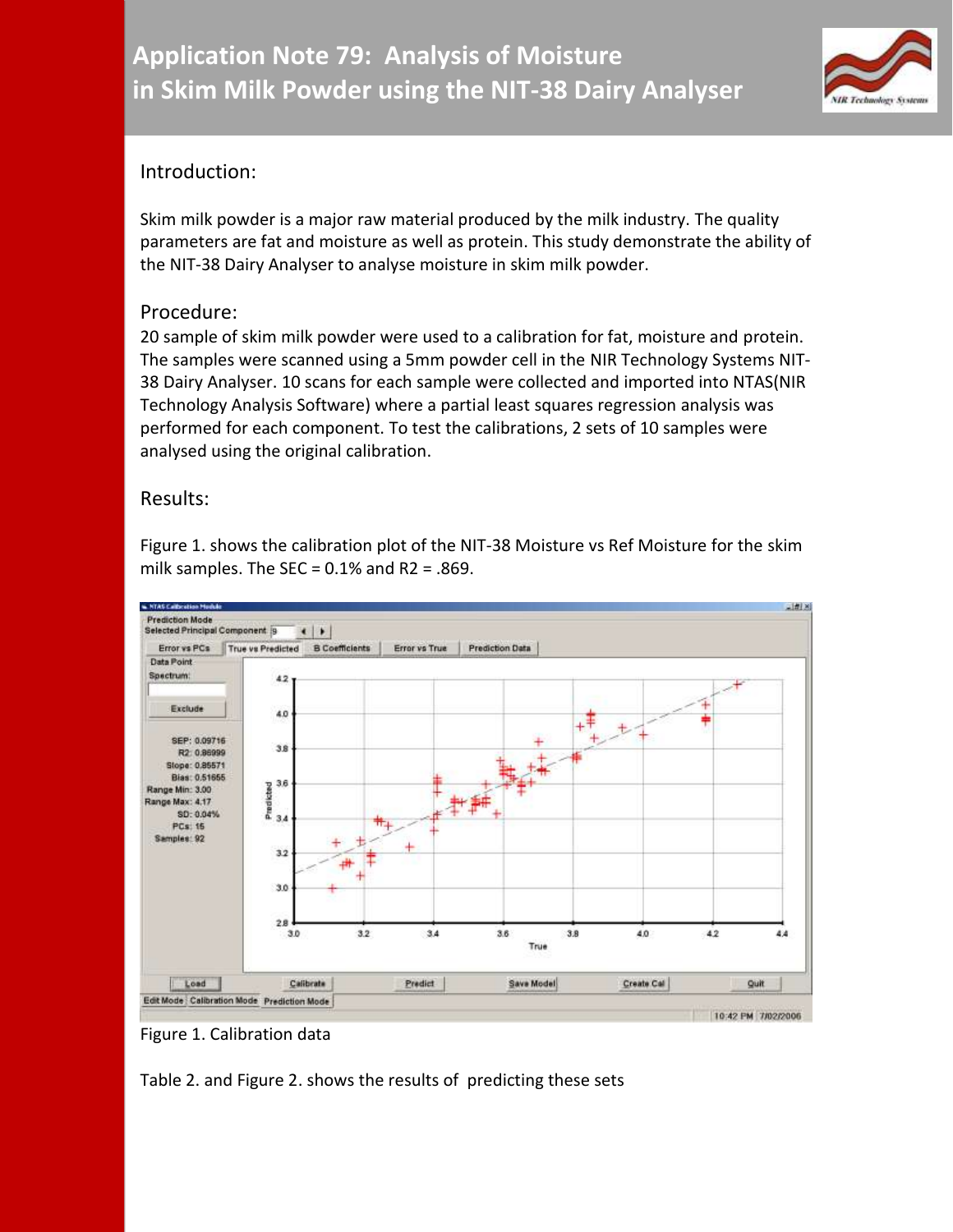

## Introduction:

Skim milk powder is a major raw material produced by the milk industry. The quality parameters are fat and moisture as well as protein. This study demonstrate the ability of the NIT-38 Dairy Analyser to analyse moisture in skim milk powder.

## Procedure:

20 sample of skim milk powder were used to a calibration for fat, moisture and protein. The samples were scanned using a 5mm powder cell in the NIR Technology Systems NIT-38 Dairy Analyser. 10 scans for each sample were collected and imported into NTAS(NIR Technology Analysis Software) where a partial least squares regression analysis was performed for each component. To test the calibrations, 2 sets of 10 samples were analysed using the original calibration.

## Results:

Figure 1. shows the calibration plot of the NIT-38 Moisture vs Ref Moisture for the skim milk samples. The SEC =  $0.1\%$  and R2 = .869.



Figure 1. Calibration data

Table 2. and Figure 2. shows the results of predicting these sets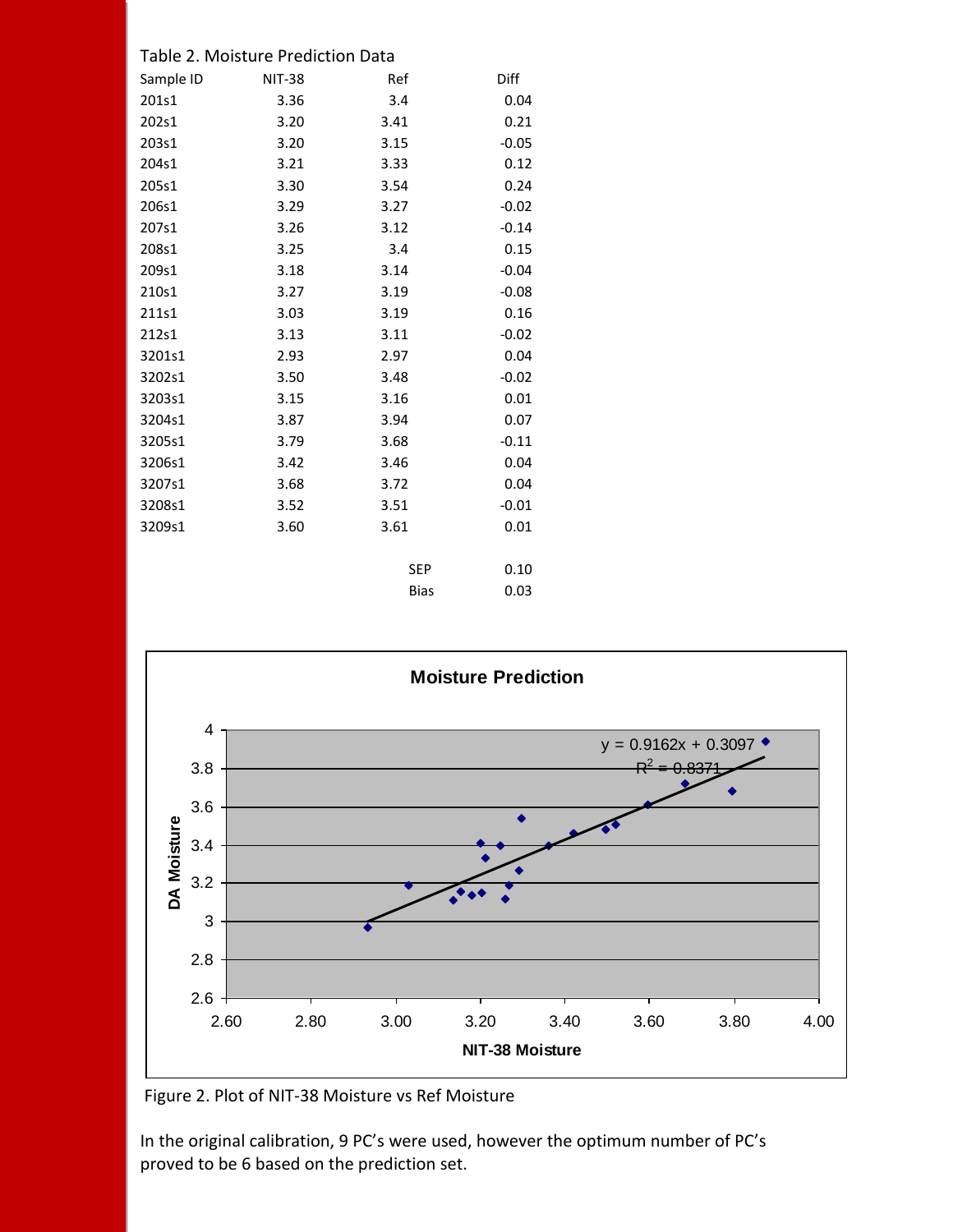|  |  | Table 2. Moisture Prediction Data |  |
|--|--|-----------------------------------|--|
|--|--|-----------------------------------|--|

| Sample ID | <b>NIT-38</b> | Ref         | Diff    |
|-----------|---------------|-------------|---------|
| 201s1     | 3.36          | 3.4         | 0.04    |
| 202s1     | 3.20          | 3.41        | 0.21    |
| 203s1     | 3.20          | 3.15        | $-0.05$ |
| 204s1     | 3.21          | 3.33        | 0.12    |
| 205s1     | 3.30          | 3.54        | 0.24    |
| 206s1     | 3.29          | 3.27        | $-0.02$ |
| 207s1     | 3.26          | 3.12        | $-0.14$ |
| 208s1     | 3.25          | 3.4         | 0.15    |
| 209s1     | 3.18          | 3.14        | $-0.04$ |
| 210s1     | 3.27          | 3.19        | $-0.08$ |
| 211s1     | 3.03          | 3.19        | 0.16    |
| 212s1     | 3.13          | 3.11        | $-0.02$ |
| 3201s1    | 2.93          | 2.97        | 0.04    |
| 3202s1    | 3.50          | 3.48        | $-0.02$ |
| 3203s1    | 3.15          | 3.16        | 0.01    |
| 3204s1    | 3.87          | 3.94        | 0.07    |
| 3205s1    | 3.79          | 3.68        | $-0.11$ |
| 3206s1    | 3.42          | 3.46        | 0.04    |
| 3207s1    | 3.68          | 3.72        | 0.04    |
| 3208s1    | 3.52          | 3.51        | $-0.01$ |
| 3209s1    | 3.60          | 3.61        | 0.01    |
|           |               |             |         |
|           |               | <b>SEP</b>  | 0.10    |
|           |               | <b>Bias</b> | 0.03    |



Figure 2. Plot of NIT-38 Moisture vs Ref Moisture

In the original calibration, 9 PC's were used, however the optimum number of PC's proved to be 6 based on the prediction set.